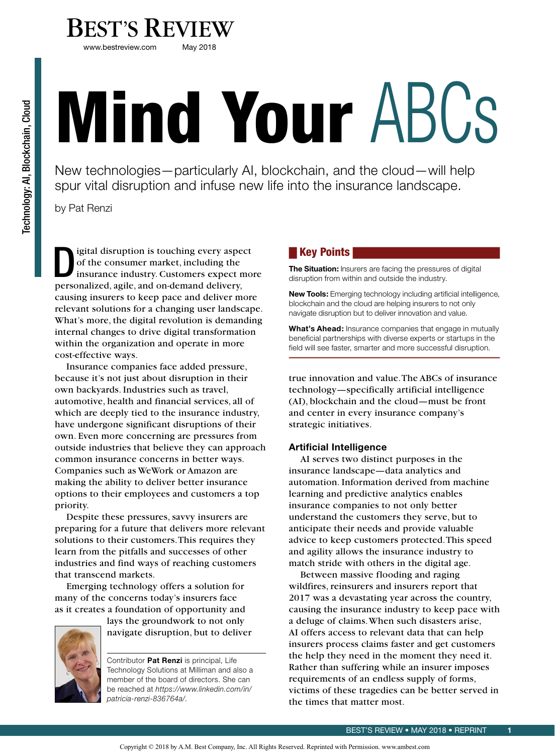

www.bestreview.com

# Mind Your ABCs

New technologies—particularly AI, blockchain, and the cloud—will help spur vital disruption and infuse new life into the insurance landscape.

by Pat Renzi

I gital disruption is touching every aspect<br>
of the consumer market, including the<br>
insurance industry. Customers expect more of the consumer market, including the personalized, agile, and on-demand delivery, causing insurers to keep pace and deliver more relevant solutions for a changing user landscape. What's more, the digital revolution is demanding internal changes to drive digital transformation within the organization and operate in more cost-effective ways.

Insurance companies face added pressure, because it's not just about disruption in their own backyards. Industries such as travel, automotive, health and financial services, all of which are deeply tied to the insurance industry, have undergone significant disruptions of their own. Even more concerning are pressures from outside industries that believe they can approach common insurance concerns in better ways. Companies such as WeWork or Amazon are making the ability to deliver better insurance options to their employees and customers a top priority.

Despite these pressures, savvy insurers are preparing for a future that delivers more relevant solutions to their customers. This requires they learn from the pitfalls and successes of other industries and find ways of reaching customers that transcend markets.

Emerging technology offers a solution for many of the concerns today's insurers face as it creates a foundation of opportunity and



lays the groundwork to not only navigate disruption, but to deliver

Contributor **Pat Renzi** is principal, Life Technology Solutions at Milliman and also a member of the board of directors. She can be reached at *https://www.linkedin.com/in/ patricia-renzi-836764a/.*

# Key Points

**The Situation:** Insurers are facing the pressures of digital disruption from within and outside the industry.

**New Tools:** Emerging technology including artificial intelligence, blockchain and the cloud are helping insurers to not only navigate disruption but to deliver innovation and value.

**What's Ahead:** Insurance companies that engage in mutually beneficial partnerships with diverse experts or startups in the field will see faster, smarter and more successful disruption.

true innovation and value. The ABCs of insurance technology—specifically artificial intelligence (AI), blockchain and the cloud—must be front and center in every insurance company's strategic initiatives.

# **Artificial Intelligence**

AI serves two distinct purposes in the insurance landscape—data analytics and automation. Information derived from machine learning and predictive analytics enables insurance companies to not only better understand the customers they serve, but to anticipate their needs and provide valuable advice to keep customers protected. This speed and agility allows the insurance industry to match stride with others in the digital age.

Between massive flooding and raging wildfires, reinsurers and insurers report that 2017 was a devastating year across the country, causing the insurance industry to keep pace with a deluge of claims. When such disasters arise, AI offers access to relevant data that can help insurers process claims faster and get customers the help they need in the moment they need it. Rather than suffering while an insurer imposes requirements of an endless supply of forms, victims of these tragedies can be better served in the times that matter most.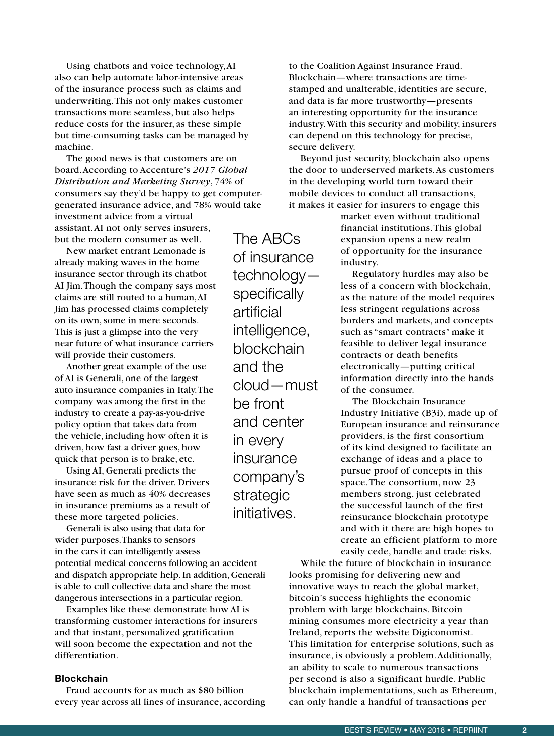Using chatbots and voice technology, AI also can help automate labor-intensive areas of the insurance process such as claims and underwriting. This not only makes customer transactions more seamless, but also helps reduce costs for the insurer, as these simple but time-consuming tasks can be managed by machine.

The good news is that customers are on board. According to Accenture's *2017 Global Distribution and Marketing Survey*, 74% of consumers say they'd be happy to get computergenerated insurance advice, and 78% would take investment advice from a virtual assistant. AI not only serves insurers, but the modern consumer as well.

New market entrant Lemonade is already making waves in the home insurance sector through its chatbot AI Jim. Though the company says most claims are still routed to a human, AI Jim has processed claims completely on its own, some in mere seconds. This is just a glimpse into the very near future of what insurance carriers will provide their customers.

Another great example of the use of AI is Generali, one of the largest auto insurance companies in Italy. The company was among the first in the industry to create a pay-as-you-drive policy option that takes data from the vehicle, including how often it is driven, how fast a driver goes, how quick that person is to brake, etc.

Using AI, Generali predicts the insurance risk for the driver. Drivers have seen as much as 40% decreases in insurance premiums as a result of these more targeted policies.

Generali is also using that data for wider purposes. Thanks to sensors in the cars it can intelligently assess potential medical concerns following an accident and dispatch appropriate help. In addition, Generali is able to cull collective data and share the most dangerous intersections in a particular region.

Examples like these demonstrate how AI is transforming customer interactions for insurers and that instant, personalized gratification will soon become the expectation and not the differentiation.

### **Blockchain**

Fraud accounts for as much as \$80 billion every year across all lines of insurance, according

The ABCs of insurance technology specifically artificial intelligence, blockchain and the cloud—must be front and center in every insurance company's strategic initiatives.

to the Coalition Against Insurance Fraud. Blockchain—where transactions are timestamped and unalterable, identities are secure, and data is far more trustworthy—presents an interesting opportunity for the insurance industry. With this security and mobility, insurers can depend on this technology for precise, secure delivery.

Beyond just security, blockchain also opens the door to underserved markets. As customers in the developing world turn toward their mobile devices to conduct all transactions, it makes it easier for insurers to engage this

> market even without traditional financial institutions. This global expansion opens a new realm of opportunity for the insurance industry.

Regulatory hurdles may also be less of a concern with blockchain, as the nature of the model requires less stringent regulations across borders and markets, and concepts such as "smart contracts" make it feasible to deliver legal insurance contracts or death benefits electronically—putting critical information directly into the hands of the consumer.

The Blockchain Insurance Industry Initiative (B3i), made up of European insurance and reinsurance providers, is the first consortium of its kind designed to facilitate an exchange of ideas and a place to pursue proof of concepts in this space. The consortium, now 23 members strong, just celebrated the successful launch of the first reinsurance blockchain prototype and with it there are high hopes to create an efficient platform to more easily cede, handle and trade risks.

While the future of blockchain in insurance looks promising for delivering new and innovative ways to reach the global market, bitcoin's success highlights the economic problem with large blockchains. Bitcoin mining consumes more electricity a year than Ireland, reports the website Digiconomist. This limitation for enterprise solutions, such as insurance, is obviously a problem. Additionally, an ability to scale to numerous transactions per second is also a significant hurdle. Public blockchain implementations, such as Ethereum, can only handle a handful of transactions per